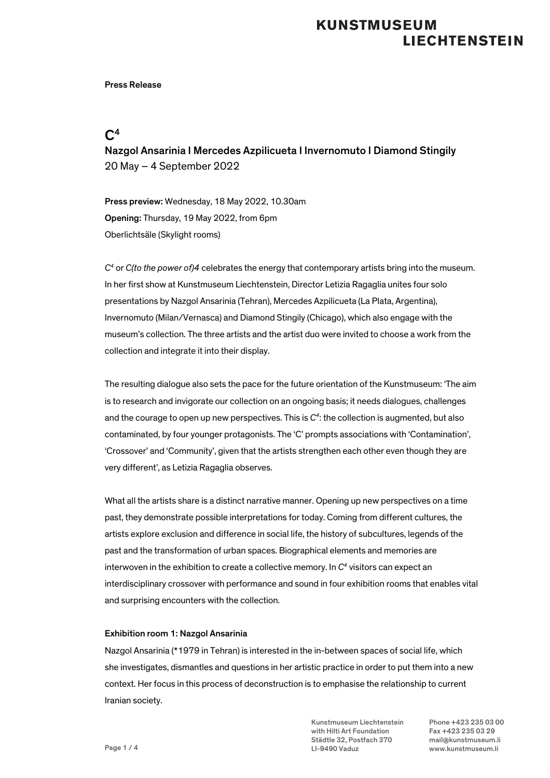### Press Release

### $C<sup>4</sup>$

Nazgol Ansarinia I Mercedes Azpilicueta I Invernomuto I Diamond Stingily 20 May – 4 September 2022

Press preview: Wednesday, 18 May 2022, 10.30am Opening: Thursday, 19 May 2022, from 6pm Oberlichtsäle (Skylight rooms)

*C4* or *C(to the power of)4* celebrates the energy that contemporary artists bring into the museum. In her first show at Kunstmuseum Liechtenstein, Director Letizia Ragaglia unites four solo presentations by Nazgol Ansarinia (Tehran), Mercedes Azpilicueta (La Plata, Argentina), Invernomuto (Milan/Vernasca) and Diamond Stingily (Chicago), which also engage with the museum's collection. The three artists and the artist duo were invited to choose a work from the collection and integrate it into their display.

The resulting dialogue also sets the pace for the future orientation of the Kunstmuseum: 'The aim is to research and invigorate our collection on an ongoing basis; it needs dialogues, challenges and the courage to open up new perspectives. This is *C4* : the collection is augmented, but also contaminated, by four younger protagonists. The 'C' prompts associations with 'Contamination', 'Crossover' and 'Community', given that the artists strengthen each other even though they are very different', as Letizia Ragaglia observes.

What all the artists share is a distinct narrative manner. Opening up new perspectives on a time past, they demonstrate possible interpretations for today. Coming from different cultures, the artists explore exclusion and difference in social life, the history of subcultures, legends of the past and the transformation of urban spaces. Biographical elements and memories are interwoven in the exhibition to create a collective memory. In  $C<sup>4</sup>$  visitors can expect an interdisciplinary crossover with performance and sound in four exhibition rooms that enables vital and surprising encounters with the collection.

### Exhibition room 1: Nazgol Ansarinia

Nazgol Ansarinia (\*1979 in Tehran) is interested in the in-between spaces of social life, which she investigates, dismantles and questions in her artistic practice in order to put them into a new context. Her focus in this process of deconstruction is to emphasise the relationship to current Iranian society.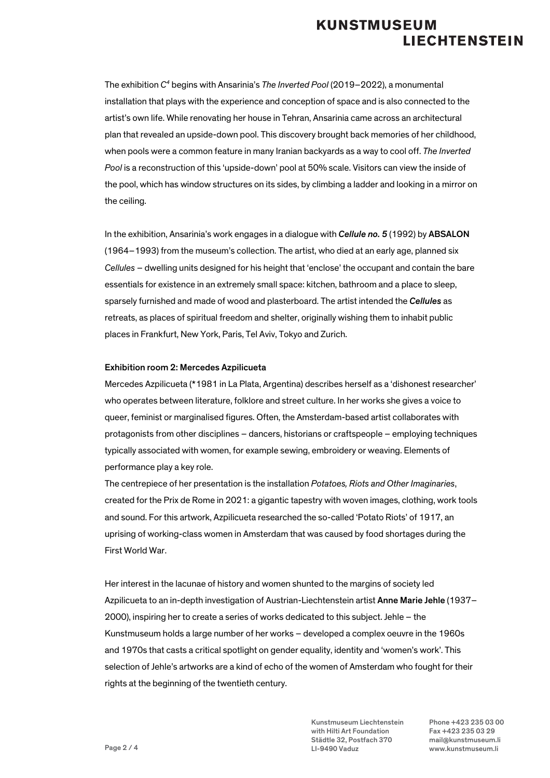The exhibition *C4* begins with Ansarinia's *The Inverted Pool* (2019–2022), a monumental installation that plays with the experience and conception of space and is also connected to the artist's own life. While renovating her house in Tehran, Ansarinia came across an architectural plan that revealed an upside-down pool. This discovery brought back memories of her childhood, when pools were a common feature in many Iranian backyards as a way to cool off. *The Inverted Pool* is a reconstruction of this 'upside-down' pool at 50% scale. Visitors can view the inside of the pool, which has window structures on its sides, by climbing a ladder and looking in a mirror on the ceiling.

In the exhibition, Ansarinia's work engages in a dialogue with *Cellule no. 5* (1992) by ABSALON (1964–1993) from the museum's collection. The artist, who died at an early age, planned six *Cellules* – dwelling units designed for his height that 'enclose' the occupant and contain the bare essentials for existence in an extremely small space: kitchen, bathroom and a place to sleep, sparsely furnished and made of wood and plasterboard. The artist intended the *Cellules* as retreats, as places of spiritual freedom and shelter, originally wishing them to inhabit public places in Frankfurt, New York, Paris, Tel Aviv, Tokyo and Zurich.

#### Exhibition room 2: Mercedes Azpilicueta

Mercedes Azpilicueta (\*1981 in La Plata, Argentina) describes herself as a 'dishonest researcher' who operates between literature, folklore and street culture. In her works she gives a voice to queer, feminist or marginalised figures. Often, the Amsterdam-based artist collaborates with protagonists from other disciplines – dancers, historians or craftspeople – employing techniques typically associated with women, for example sewing, embroidery or weaving. Elements of performance play a key role.

The centrepiece of her presentation is the installation *Potatoes, Riots and Other Imaginaries*, created for the Prix de Rome in 2021: a gigantic tapestry with woven images, clothing, work tools and sound. For this artwork, Azpilicueta researched the so-called 'Potato Riots' of 1917, an uprising of working-class women in Amsterdam that was caused by food shortages during the First World War.

Her interest in the lacunae of history and women shunted to the margins of society led Azpilicueta to an in-depth investigation of Austrian-Liechtenstein artist Anne Marie Jehle (1937– 2000), inspiring her to create a series of works dedicated to this subject. Jehle – the Kunstmuseum holds a large number of her works – developed a complex oeuvre in the 1960s and 1970s that casts a critical spotlight on gender equality, identity and 'women's work'. This selection of Jehle's artworks are a kind of echo of the women of Amsterdam who fought for their rights at the beginning of the twentieth century.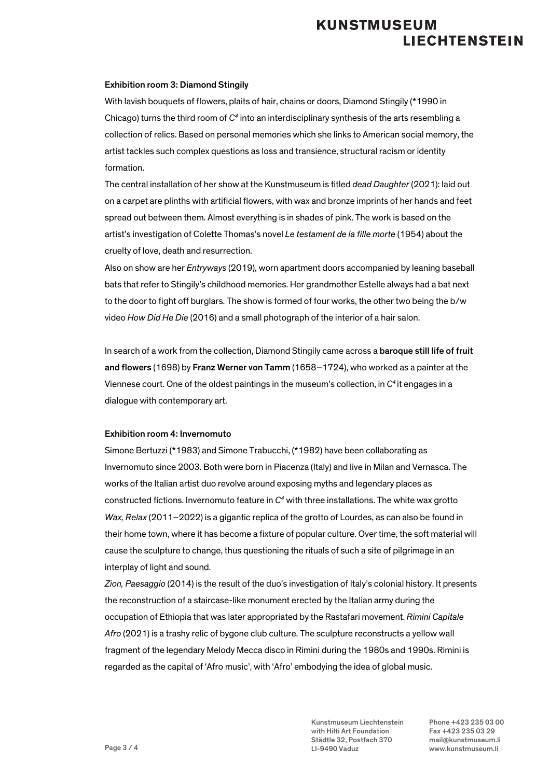#### Exhibition room 3: Diamond Stingily

With lavish bouquets of flowers, plaits of hair, chains or doors, Diamond Stingily (\*1990 in Chicago) turns the third room of *C4* into an interdisciplinary synthesis of the arts resembling a collection of relics. Based on personal memories which she links to American social memory, the artist tackles such complex questions as loss and transience, structural racism or identity formation.

The central installation of her show at the Kunstmuseum is titled *dead Daughter* (2021): laid out on a carpet are plinths with artificial flowers, with wax and bronze imprints of her hands and feet spread out between them. Almost everything is in shades of pink. The work is based on the artist's investigation of Colette Thomas's novel *Le testament de la fille morte* (1954) about the cruelty of love, death and resurrection.

Also on show are her *Entryways* (2019), worn apartment doors accompanied by leaning baseball bats that refer to Stingily's childhood memories. Her grandmother Estelle always had a bat next to the door to fight off burglars. The show is formed of four works, the other two being the b/w video *How Did He Die* (2016) and a small photograph of the interior of a hair salon.

In search of a work from the collection, Diamond Stingily came across a baroque still life of fruit and flowers (1698) by Franz Werner von Tamm (1658–1724), who worked as a painter at the Viennese court. One of the oldest paintings in the museum's collection, in *C4* it engages in a dialogue with contemporary art.

### Exhibition room 4: Invernomuto

Simone Bertuzzi (\*1983) and Simone Trabucchi, (\*1982) have been collaborating as Invernomuto since 2003. Both were born in Piacenza (Italy) and live in Milan and Vernasca. The works of the Italian artist duo revolve around exposing myths and legendary places as constructed fictions. Invernomuto feature in *C4* with three installations. The white wax grotto *Wax, Relax* (2011–2022) is a gigantic replica of the grotto of Lourdes, as can also be found in their home town, where it has become a fixture of popular culture. Over time, the soft material will cause the sculpture to change, thus questioning the rituals of such a site of pilgrimage in an interplay of light and sound.

*Zion, Paesaggio* (2014) is the result of the duo's investigation of Italy's colonial history. It presents the reconstruction of a staircase-like monument erected by the Italian army during the occupation of Ethiopia that was later appropriated by the Rastafari movement. *Rimini Capitale Afro* (2021) is a trashy relic of bygone club culture. The sculpture reconstructs a yellow wall fragment of the legendary Melody Mecca disco in Rimini during the 1980s and 1990s. Rimini is regarded as the capital of 'Afro music', with 'Afro' embodying the idea of global music.